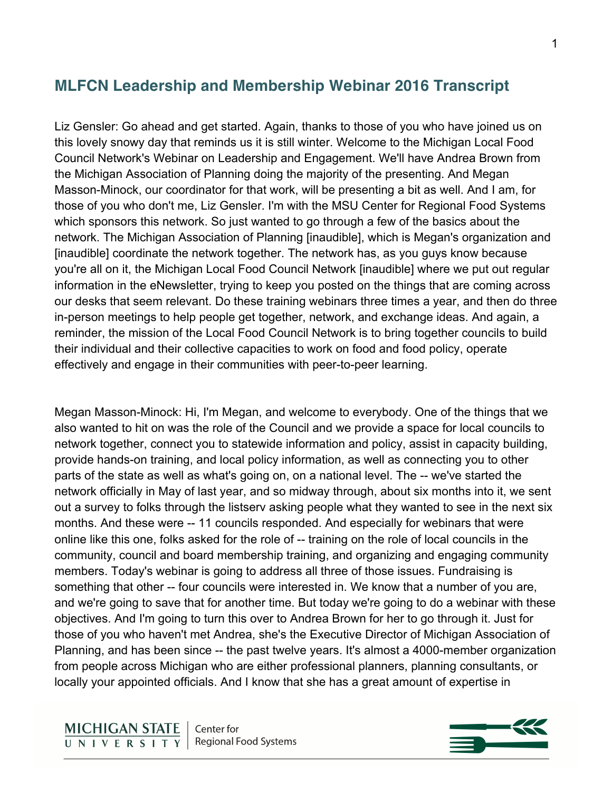# **MLFCN Leadership and Membership Webinar 2016 Transcript**

Liz Gensler: Go ahead and get started. Again, thanks to those of you who have joined us on this lovely snowy day that reminds us it is still winter. Welcome to the Michigan Local Food Council Network's Webinar on Leadership and Engagement. We'll have Andrea Brown from the Michigan Association of Planning doing the majority of the presenting. And Megan Masson-Minock, our coordinator for that work, will be presenting a bit as well. And I am, for those of you who don't me, Liz Gensler. I'm with the MSU Center for Regional Food Systems which sponsors this network. So just wanted to go through a few of the basics about the network. The Michigan Association of Planning [inaudible], which is Megan's organization and [inaudible] coordinate the network together. The network has, as you guys know because you're all on it, the Michigan Local Food Council Network [inaudible] where we put out regular information in the eNewsletter, trying to keep you posted on the things that are coming across our desks that seem relevant. Do these training webinars three times a year, and then do three in-person meetings to help people get together, network, and exchange ideas. And again, a reminder, the mission of the Local Food Council Network is to bring together councils to build their individual and their collective capacities to work on food and food policy, operate effectively and engage in their communities with peer-to-peer learning.

Megan Masson-Minock: Hi, I'm Megan, and welcome to everybody. One of the things that we also wanted to hit on was the role of the Council and we provide a space for local councils to network together, connect you to statewide information and policy, assist in capacity building, provide hands-on training, and local policy information, as well as connecting you to other parts of the state as well as what's going on, on a national level. The -- we've started the network officially in May of last year, and so midway through, about six months into it, we sent out a survey to folks through the listserv asking people what they wanted to see in the next six months. And these were -- 11 councils responded. And especially for webinars that were online like this one, folks asked for the role of -- training on the role of local councils in the community, council and board membership training, and organizing and engaging community members. Today's webinar is going to address all three of those issues. Fundraising is something that other -- four councils were interested in. We know that a number of you are, and we're going to save that for another time. But today we're going to do a webinar with these objectives. And I'm going to turn this over to Andrea Brown for her to go through it. Just for those of you who haven't met Andrea, she's the Executive Director of Michigan Association of Planning, and has been since -- the past twelve years. It's almost a 4000-member organization from people across Michigan who are either professional planners, planning consultants, or locally your appointed officials. And I know that she has a great amount of expertise in

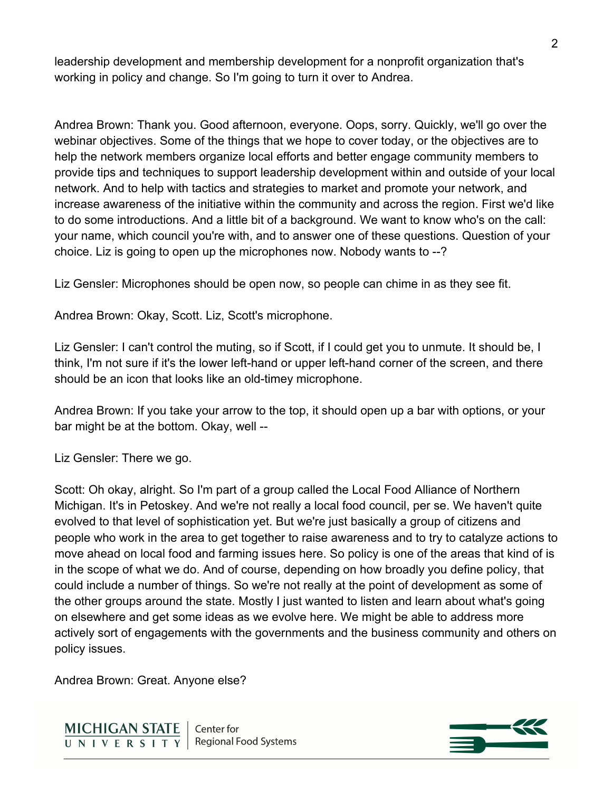leadership development and membership development for a nonprofit organization that's working in policy and change. So I'm going to turn it over to Andrea.

Andrea Brown: Thank you. Good afternoon, everyone. Oops, sorry. Quickly, we'll go over the webinar objectives. Some of the things that we hope to cover today, or the objectives are to help the network members organize local efforts and better engage community members to provide tips and techniques to support leadership development within and outside of your local network. And to help with tactics and strategies to market and promote your network, and increase awareness of the initiative within the community and across the region. First we'd like to do some introductions. And a little bit of a background. We want to know who's on the call: your name, which council you're with, and to answer one of these questions. Question of your choice. Liz is going to open up the microphones now. Nobody wants to --?

Liz Gensler: Microphones should be open now, so people can chime in as they see fit.

Andrea Brown: Okay, Scott. Liz, Scott's microphone.

Liz Gensler: I can't control the muting, so if Scott, if I could get you to unmute. It should be, I think, I'm not sure if it's the lower left-hand or upper left-hand corner of the screen, and there should be an icon that looks like an old-timey microphone.

Andrea Brown: If you take your arrow to the top, it should open up a bar with options, or your bar might be at the bottom. Okay, well --

Liz Gensler: There we go.

Scott: Oh okay, alright. So I'm part of a group called the Local Food Alliance of Northern Michigan. It's in Petoskey. And we're not really a local food council, per se. We haven't quite evolved to that level of sophistication yet. But we're just basically a group of citizens and people who work in the area to get together to raise awareness and to try to catalyze actions to move ahead on local food and farming issues here. So policy is one of the areas that kind of is in the scope of what we do. And of course, depending on how broadly you define policy, that could include a number of things. So we're not really at the point of development as some of the other groups around the state. Mostly I just wanted to listen and learn about what's going on elsewhere and get some ideas as we evolve here. We might be able to address more actively sort of engagements with the governments and the business community and others on policy issues.

Andrea Brown: Great. Anyone else?



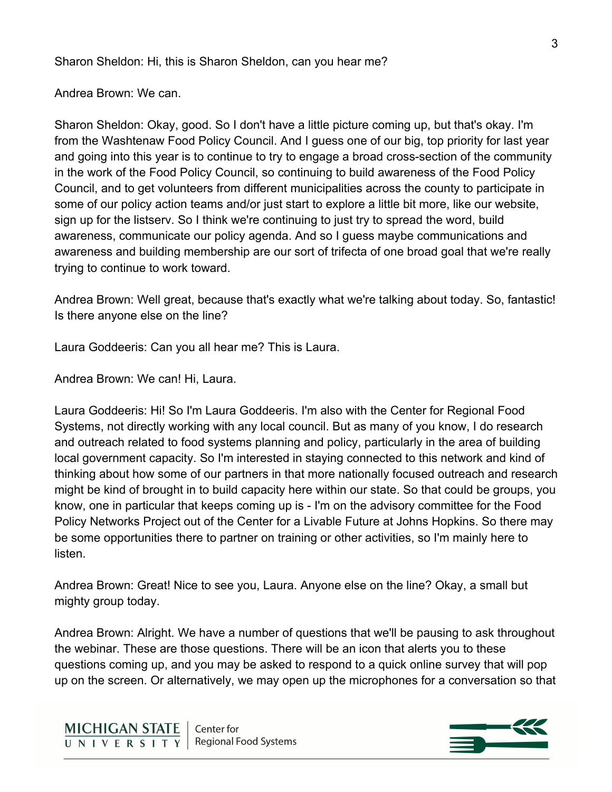Sharon Sheldon: Hi, this is Sharon Sheldon, can you hear me?

Andrea Brown: We can.

Sharon Sheldon: Okay, good. So I don't have a little picture coming up, but that's okay. I'm from the Washtenaw Food Policy Council. And I guess one of our big, top priority for last year and going into this year is to continue to try to engage a broad cross-section of the community in the work of the Food Policy Council, so continuing to build awareness of the Food Policy Council, and to get volunteers from different municipalities across the county to participate in some of our policy action teams and/or just start to explore a little bit more, like our website, sign up for the listserv. So I think we're continuing to just try to spread the word, build awareness, communicate our policy agenda. And so I guess maybe communications and awareness and building membership are our sort of trifecta of one broad goal that we're really trying to continue to work toward.

Andrea Brown: Well great, because that's exactly what we're talking about today. So, fantastic! Is there anyone else on the line?

Laura Goddeeris: Can you all hear me? This is Laura.

Andrea Brown: We can! Hi, Laura.

Laura Goddeeris: Hi! So I'm Laura Goddeeris. I'm also with the Center for Regional Food Systems, not directly working with any local council. But as many of you know, I do research and outreach related to food systems planning and policy, particularly in the area of building local government capacity. So I'm interested in staying connected to this network and kind of thinking about how some of our partners in that more nationally focused outreach and research might be kind of brought in to build capacity here within our state. So that could be groups, you know, one in particular that keeps coming up is - I'm on the advisory committee for the Food Policy Networks Project out of the Center for a Livable Future at Johns Hopkins. So there may be some opportunities there to partner on training or other activities, so I'm mainly here to listen.

Andrea Brown: Great! Nice to see you, Laura. Anyone else on the line? Okay, a small but mighty group today.

Andrea Brown: Alright. We have a number of questions that we'll be pausing to ask throughout the webinar. These are those questions. There will be an icon that alerts you to these questions coming up, and you may be asked to respond to a quick online survey that will pop up on the screen. Or alternatively, we may open up the microphones for a conversation so that

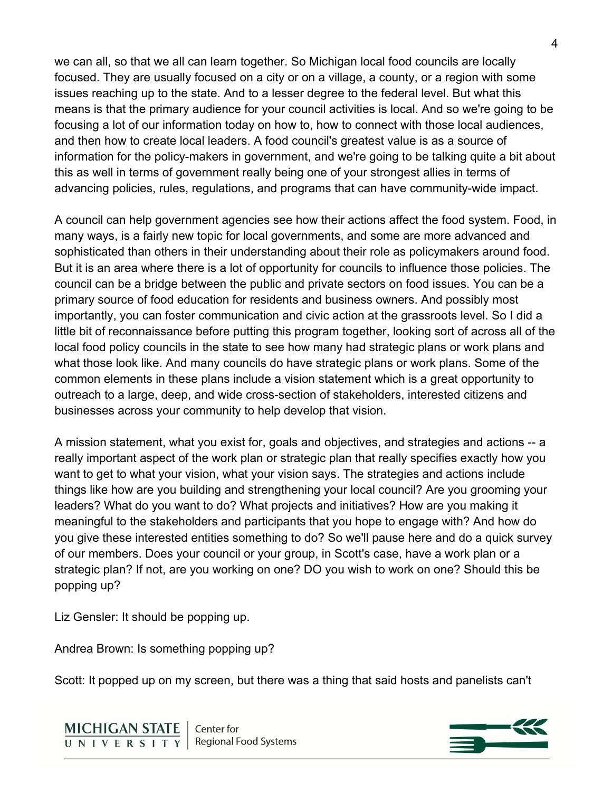we can all, so that we all can learn together. So Michigan local food councils are locally focused. They are usually focused on a city or on a village, a county, or a region with some issues reaching up to the state. And to a lesser degree to the federal level. But what this means is that the primary audience for your council activities is local. And so we're going to be focusing a lot of our information today on how to, how to connect with those local audiences, and then how to create local leaders. A food council's greatest value is as a source of information for the policy-makers in government, and we're going to be talking quite a bit about this as well in terms of government really being one of your strongest allies in terms of advancing policies, rules, regulations, and programs that can have community-wide impact.

A council can help government agencies see how their actions affect the food system. Food, in many ways, is a fairly new topic for local governments, and some are more advanced and sophisticated than others in their understanding about their role as policymakers around food. But it is an area where there is a lot of opportunity for councils to influence those policies. The council can be a bridge between the public and private sectors on food issues. You can be a primary source of food education for residents and business owners. And possibly most importantly, you can foster communication and civic action at the grassroots level. So I did a little bit of reconnaissance before putting this program together, looking sort of across all of the local food policy councils in the state to see how many had strategic plans or work plans and what those look like. And many councils do have strategic plans or work plans. Some of the common elements in these plans include a vision statement which is a great opportunity to outreach to a large, deep, and wide cross-section of stakeholders, interested citizens and businesses across your community to help develop that vision.

A mission statement, what you exist for, goals and objectives, and strategies and actions -- a really important aspect of the work plan or strategic plan that really specifies exactly how you want to get to what your vision, what your vision says. The strategies and actions include things like how are you building and strengthening your local council? Are you grooming your leaders? What do you want to do? What projects and initiatives? How are you making it meaningful to the stakeholders and participants that you hope to engage with? And how do you give these interested entities something to do? So we'll pause here and do a quick survey of our members. Does your council or your group, in Scott's case, have a work plan or a strategic plan? If not, are you working on one? DO you wish to work on one? Should this be popping up?

Liz Gensler: It should be popping up.

Andrea Brown: Is something popping up?

Scott: It popped up on my screen, but there was a thing that said hosts and panelists can't

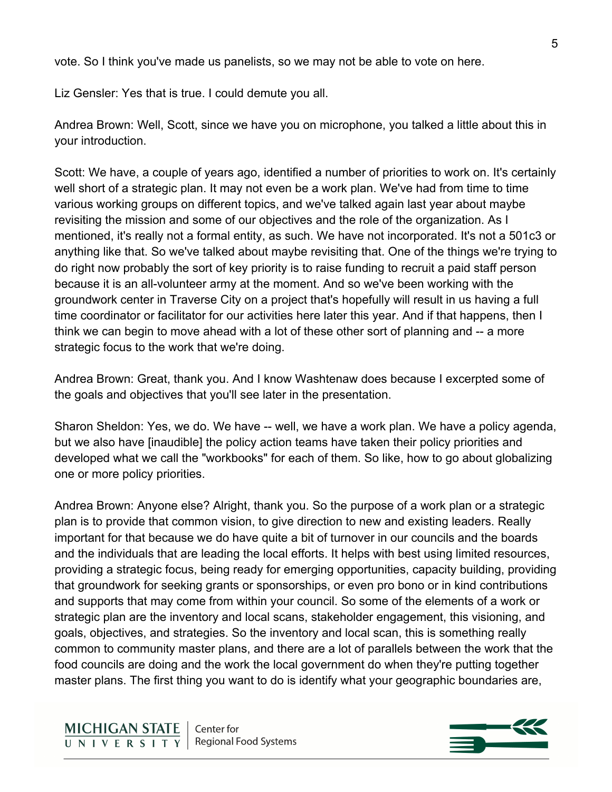vote. So I think you've made us panelists, so we may not be able to vote on here.

Liz Gensler: Yes that is true. I could demute you all.

Andrea Brown: Well, Scott, since we have you on microphone, you talked a little about this in your introduction.

Scott: We have, a couple of years ago, identified a number of priorities to work on. It's certainly well short of a strategic plan. It may not even be a work plan. We've had from time to time various working groups on different topics, and we've talked again last year about maybe revisiting the mission and some of our objectives and the role of the organization. As I mentioned, it's really not a formal entity, as such. We have not incorporated. It's not a 501c3 or anything like that. So we've talked about maybe revisiting that. One of the things we're trying to do right now probably the sort of key priority is to raise funding to recruit a paid staff person because it is an all-volunteer army at the moment. And so we've been working with the groundwork center in Traverse City on a project that's hopefully will result in us having a full time coordinator or facilitator for our activities here later this year. And if that happens, then I think we can begin to move ahead with a lot of these other sort of planning and -- a more strategic focus to the work that we're doing.

Andrea Brown: Great, thank you. And I know Washtenaw does because I excerpted some of the goals and objectives that you'll see later in the presentation.

Sharon Sheldon: Yes, we do. We have -- well, we have a work plan. We have a policy agenda, but we also have [inaudible] the policy action teams have taken their policy priorities and developed what we call the "workbooks" for each of them. So like, how to go about globalizing one or more policy priorities.

Andrea Brown: Anyone else? Alright, thank you. So the purpose of a work plan or a strategic plan is to provide that common vision, to give direction to new and existing leaders. Really important for that because we do have quite a bit of turnover in our councils and the boards and the individuals that are leading the local efforts. It helps with best using limited resources, providing a strategic focus, being ready for emerging opportunities, capacity building, providing that groundwork for seeking grants or sponsorships, or even pro bono or in kind contributions and supports that may come from within your council. So some of the elements of a work or strategic plan are the inventory and local scans, stakeholder engagement, this visioning, and goals, objectives, and strategies. So the inventory and local scan, this is something really common to community master plans, and there are a lot of parallels between the work that the food councils are doing and the work the local government do when they're putting together master plans. The first thing you want to do is identify what your geographic boundaries are,

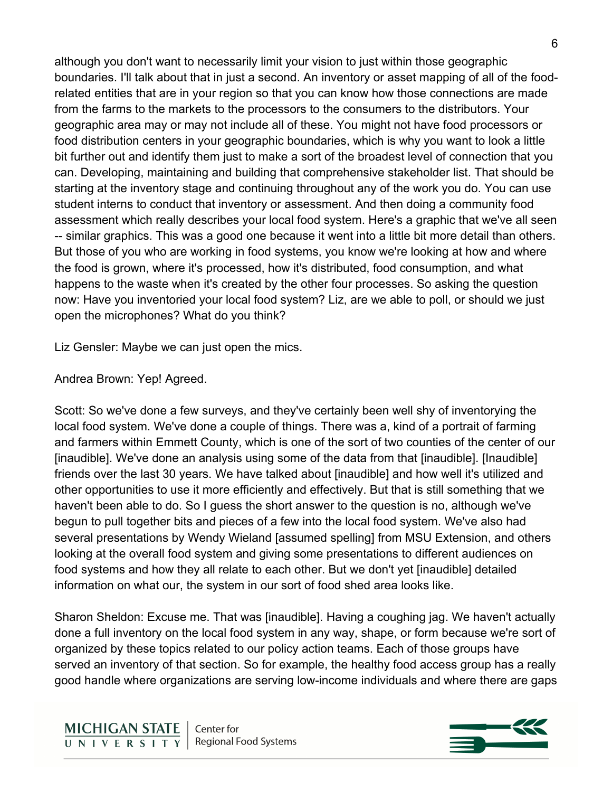although you don't want to necessarily limit your vision to just within those geographic boundaries. I'll talk about that in just a second. An inventory or asset mapping of all of the foodrelated entities that are in your region so that you can know how those connections are made from the farms to the markets to the processors to the consumers to the distributors. Your geographic area may or may not include all of these. You might not have food processors or food distribution centers in your geographic boundaries, which is why you want to look a little bit further out and identify them just to make a sort of the broadest level of connection that you can. Developing, maintaining and building that comprehensive stakeholder list. That should be starting at the inventory stage and continuing throughout any of the work you do. You can use student interns to conduct that inventory or assessment. And then doing a community food assessment which really describes your local food system. Here's a graphic that we've all seen -- similar graphics. This was a good one because it went into a little bit more detail than others. But those of you who are working in food systems, you know we're looking at how and where the food is grown, where it's processed, how it's distributed, food consumption, and what happens to the waste when it's created by the other four processes. So asking the question now: Have you inventoried your local food system? Liz, are we able to poll, or should we just open the microphones? What do you think?

Liz Gensler: Maybe we can just open the mics.

Andrea Brown: Yep! Agreed.

Scott: So we've done a few surveys, and they've certainly been well shy of inventorying the local food system. We've done a couple of things. There was a, kind of a portrait of farming and farmers within Emmett County, which is one of the sort of two counties of the center of our [inaudible]. We've done an analysis using some of the data from that [inaudible]. [Inaudible] friends over the last 30 years. We have talked about [inaudible] and how well it's utilized and other opportunities to use it more efficiently and effectively. But that is still something that we haven't been able to do. So I guess the short answer to the question is no, although we've begun to pull together bits and pieces of a few into the local food system. We've also had several presentations by Wendy Wieland [assumed spelling] from MSU Extension, and others looking at the overall food system and giving some presentations to different audiences on food systems and how they all relate to each other. But we don't yet [inaudible] detailed information on what our, the system in our sort of food shed area looks like.

Sharon Sheldon: Excuse me. That was [inaudible]. Having a coughing jag. We haven't actually done a full inventory on the local food system in any way, shape, or form because we're sort of organized by these topics related to our policy action teams. Each of those groups have served an inventory of that section. So for example, the healthy food access group has a really good handle where organizations are serving low-income individuals and where there are gaps

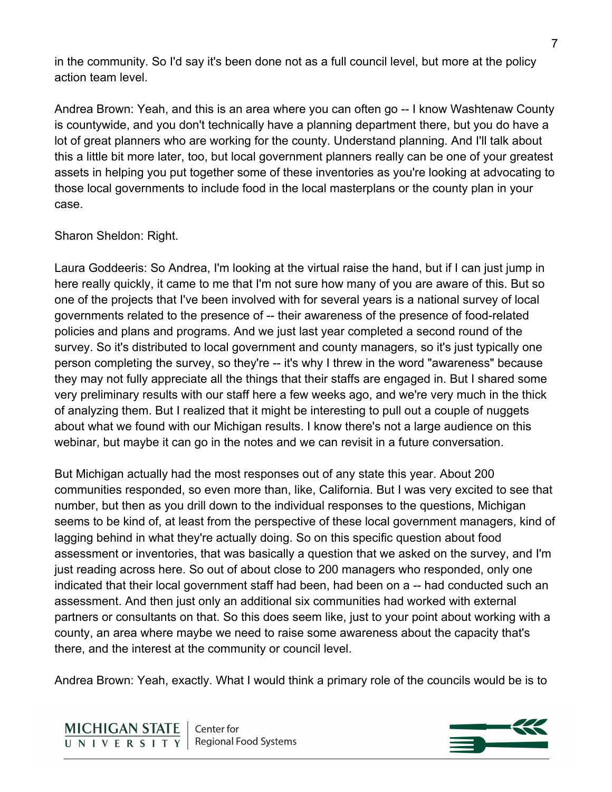in the community. So I'd say it's been done not as a full council level, but more at the policy action team level.

Andrea Brown: Yeah, and this is an area where you can often go -- I know Washtenaw County is countywide, and you don't technically have a planning department there, but you do have a lot of great planners who are working for the county. Understand planning. And I'll talk about this a little bit more later, too, but local government planners really can be one of your greatest assets in helping you put together some of these inventories as you're looking at advocating to those local governments to include food in the local masterplans or the county plan in your case.

## Sharon Sheldon: Right.

Laura Goddeeris: So Andrea, I'm looking at the virtual raise the hand, but if I can just jump in here really quickly, it came to me that I'm not sure how many of you are aware of this. But so one of the projects that I've been involved with for several years is a national survey of local governments related to the presence of -- their awareness of the presence of food-related policies and plans and programs. And we just last year completed a second round of the survey. So it's distributed to local government and county managers, so it's just typically one person completing the survey, so they're -- it's why I threw in the word "awareness" because they may not fully appreciate all the things that their staffs are engaged in. But I shared some very preliminary results with our staff here a few weeks ago, and we're very much in the thick of analyzing them. But I realized that it might be interesting to pull out a couple of nuggets about what we found with our Michigan results. I know there's not a large audience on this webinar, but maybe it can go in the notes and we can revisit in a future conversation.

But Michigan actually had the most responses out of any state this year. About 200 communities responded, so even more than, like, California. But I was very excited to see that number, but then as you drill down to the individual responses to the questions, Michigan seems to be kind of, at least from the perspective of these local government managers, kind of lagging behind in what they're actually doing. So on this specific question about food assessment or inventories, that was basically a question that we asked on the survey, and I'm just reading across here. So out of about close to 200 managers who responded, only one indicated that their local government staff had been, had been on a -- had conducted such an assessment. And then just only an additional six communities had worked with external partners or consultants on that. So this does seem like, just to your point about working with a county, an area where maybe we need to raise some awareness about the capacity that's there, and the interest at the community or council level.

Andrea Brown: Yeah, exactly. What I would think a primary role of the councils would be is to

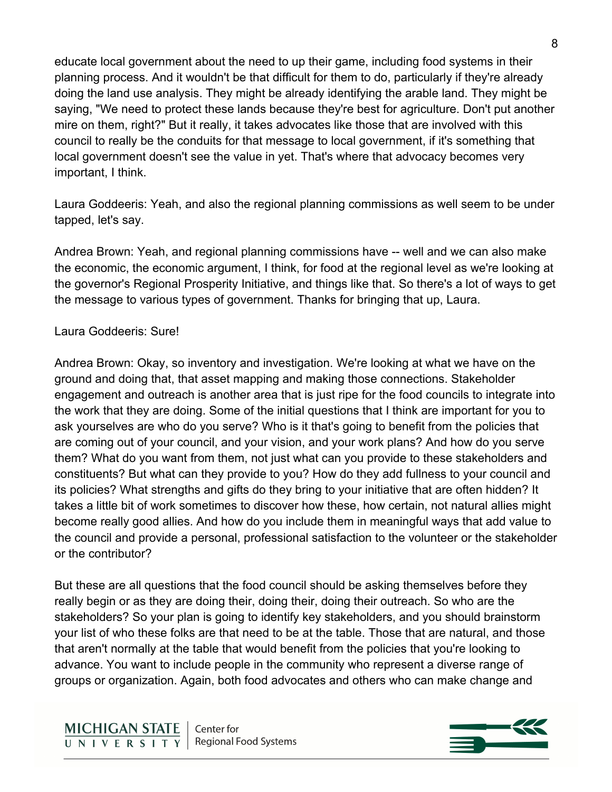educate local government about the need to up their game, including food systems in their planning process. And it wouldn't be that difficult for them to do, particularly if they're already doing the land use analysis. They might be already identifying the arable land. They might be saying, "We need to protect these lands because they're best for agriculture. Don't put another mire on them, right?" But it really, it takes advocates like those that are involved with this council to really be the conduits for that message to local government, if it's something that local government doesn't see the value in yet. That's where that advocacy becomes very important, I think.

Laura Goddeeris: Yeah, and also the regional planning commissions as well seem to be under tapped, let's say.

Andrea Brown: Yeah, and regional planning commissions have -- well and we can also make the economic, the economic argument, I think, for food at the regional level as we're looking at the governor's Regional Prosperity Initiative, and things like that. So there's a lot of ways to get the message to various types of government. Thanks for bringing that up, Laura.

### Laura Goddeeris: Sure!

Andrea Brown: Okay, so inventory and investigation. We're looking at what we have on the ground and doing that, that asset mapping and making those connections. Stakeholder engagement and outreach is another area that is just ripe for the food councils to integrate into the work that they are doing. Some of the initial questions that I think are important for you to ask yourselves are who do you serve? Who is it that's going to benefit from the policies that are coming out of your council, and your vision, and your work plans? And how do you serve them? What do you want from them, not just what can you provide to these stakeholders and constituents? But what can they provide to you? How do they add fullness to your council and its policies? What strengths and gifts do they bring to your initiative that are often hidden? It takes a little bit of work sometimes to discover how these, how certain, not natural allies might become really good allies. And how do you include them in meaningful ways that add value to the council and provide a personal, professional satisfaction to the volunteer or the stakeholder or the contributor?

But these are all questions that the food council should be asking themselves before they really begin or as they are doing their, doing their, doing their outreach. So who are the stakeholders? So your plan is going to identify key stakeholders, and you should brainstorm your list of who these folks are that need to be at the table. Those that are natural, and those that aren't normally at the table that would benefit from the policies that you're looking to advance. You want to include people in the community who represent a diverse range of groups or organization. Again, both food advocates and others who can make change and

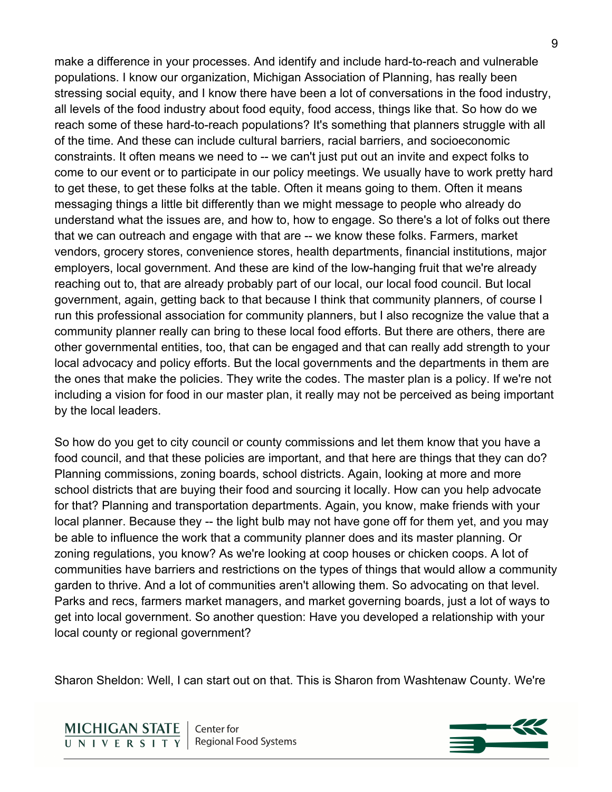make a difference in your processes. And identify and include hard-to-reach and vulnerable populations. I know our organization, Michigan Association of Planning, has really been stressing social equity, and I know there have been a lot of conversations in the food industry, all levels of the food industry about food equity, food access, things like that. So how do we reach some of these hard-to-reach populations? It's something that planners struggle with all of the time. And these can include cultural barriers, racial barriers, and socioeconomic constraints. It often means we need to -- we can't just put out an invite and expect folks to come to our event or to participate in our policy meetings. We usually have to work pretty hard to get these, to get these folks at the table. Often it means going to them. Often it means messaging things a little bit differently than we might message to people who already do understand what the issues are, and how to, how to engage. So there's a lot of folks out there that we can outreach and engage with that are -- we know these folks. Farmers, market vendors, grocery stores, convenience stores, health departments, financial institutions, major employers, local government. And these are kind of the low-hanging fruit that we're already reaching out to, that are already probably part of our local, our local food council. But local government, again, getting back to that because I think that community planners, of course I run this professional association for community planners, but I also recognize the value that a community planner really can bring to these local food efforts. But there are others, there are other governmental entities, too, that can be engaged and that can really add strength to your local advocacy and policy efforts. But the local governments and the departments in them are the ones that make the policies. They write the codes. The master plan is a policy. If we're not including a vision for food in our master plan, it really may not be perceived as being important by the local leaders.

So how do you get to city council or county commissions and let them know that you have a food council, and that these policies are important, and that here are things that they can do? Planning commissions, zoning boards, school districts. Again, looking at more and more school districts that are buying their food and sourcing it locally. How can you help advocate for that? Planning and transportation departments. Again, you know, make friends with your local planner. Because they -- the light bulb may not have gone off for them yet, and you may be able to influence the work that a community planner does and its master planning. Or zoning regulations, you know? As we're looking at coop houses or chicken coops. A lot of communities have barriers and restrictions on the types of things that would allow a community garden to thrive. And a lot of communities aren't allowing them. So advocating on that level. Parks and recs, farmers market managers, and market governing boards, just a lot of ways to get into local government. So another question: Have you developed a relationship with your local county or regional government?

Sharon Sheldon: Well, I can start out on that. This is Sharon from Washtenaw County. We're

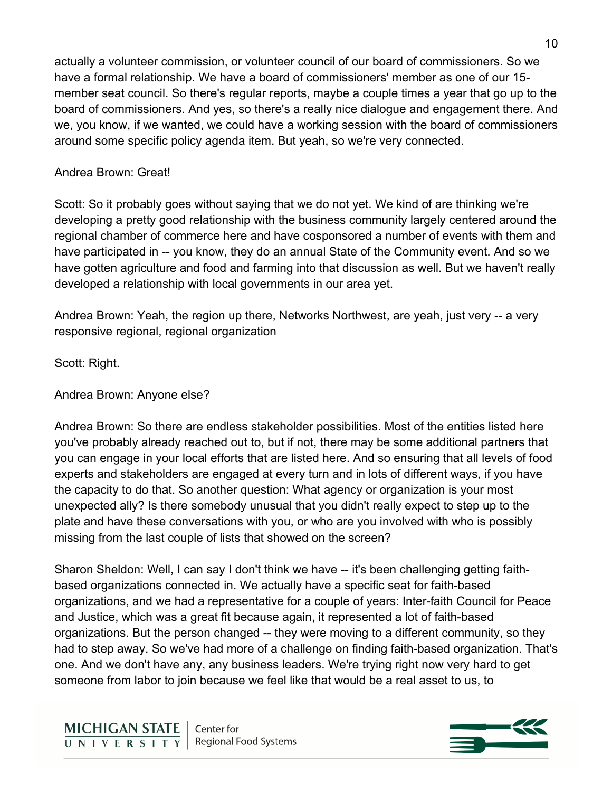actually a volunteer commission, or volunteer council of our board of commissioners. So we have a formal relationship. We have a board of commissioners' member as one of our 15 member seat council. So there's regular reports, maybe a couple times a year that go up to the board of commissioners. And yes, so there's a really nice dialogue and engagement there. And we, you know, if we wanted, we could have a working session with the board of commissioners around some specific policy agenda item. But yeah, so we're very connected.

## Andrea Brown: Great!

Scott: So it probably goes without saying that we do not yet. We kind of are thinking we're developing a pretty good relationship with the business community largely centered around the regional chamber of commerce here and have cosponsored a number of events with them and have participated in -- you know, they do an annual State of the Community event. And so we have gotten agriculture and food and farming into that discussion as well. But we haven't really developed a relationship with local governments in our area yet.

Andrea Brown: Yeah, the region up there, Networks Northwest, are yeah, just very -- a very responsive regional, regional organization

Scott: Right.

Andrea Brown: Anyone else?

Andrea Brown: So there are endless stakeholder possibilities. Most of the entities listed here you've probably already reached out to, but if not, there may be some additional partners that you can engage in your local efforts that are listed here. And so ensuring that all levels of food experts and stakeholders are engaged at every turn and in lots of different ways, if you have the capacity to do that. So another question: What agency or organization is your most unexpected ally? Is there somebody unusual that you didn't really expect to step up to the plate and have these conversations with you, or who are you involved with who is possibly missing from the last couple of lists that showed on the screen?

Sharon Sheldon: Well, I can say I don't think we have -- it's been challenging getting faithbased organizations connected in. We actually have a specific seat for faith-based organizations, and we had a representative for a couple of years: Inter-faith Council for Peace and Justice, which was a great fit because again, it represented a lot of faith-based organizations. But the person changed -- they were moving to a different community, so they had to step away. So we've had more of a challenge on finding faith-based organization. That's one. And we don't have any, any business leaders. We're trying right now very hard to get someone from labor to join because we feel like that would be a real asset to us, to

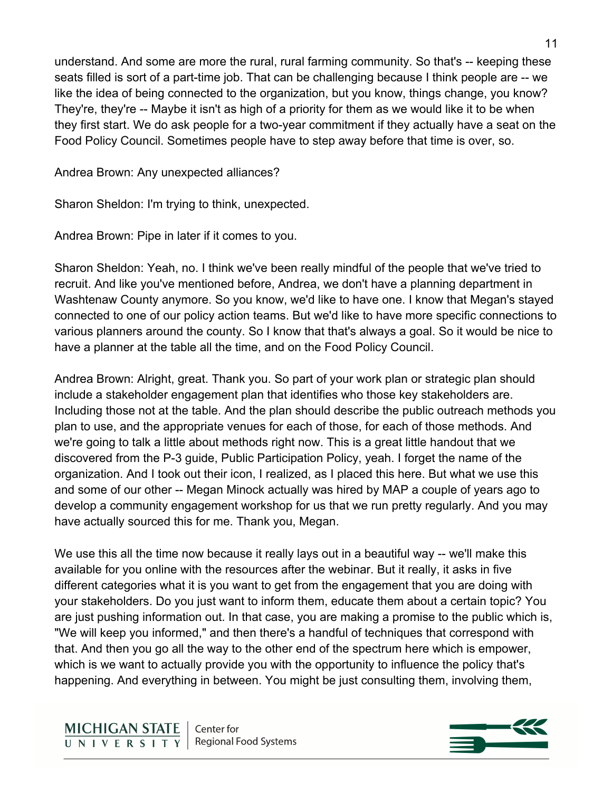understand. And some are more the rural, rural farming community. So that's -- keeping these seats filled is sort of a part-time job. That can be challenging because I think people are -- we like the idea of being connected to the organization, but you know, things change, you know? They're, they're -- Maybe it isn't as high of a priority for them as we would like it to be when they first start. We do ask people for a two-year commitment if they actually have a seat on the Food Policy Council. Sometimes people have to step away before that time is over, so.

Andrea Brown: Any unexpected alliances?

Sharon Sheldon: I'm trying to think, unexpected.

Andrea Brown: Pipe in later if it comes to you.

Sharon Sheldon: Yeah, no. I think we've been really mindful of the people that we've tried to recruit. And like you've mentioned before, Andrea, we don't have a planning department in Washtenaw County anymore. So you know, we'd like to have one. I know that Megan's stayed connected to one of our policy action teams. But we'd like to have more specific connections to various planners around the county. So I know that that's always a goal. So it would be nice to have a planner at the table all the time, and on the Food Policy Council.

Andrea Brown: Alright, great. Thank you. So part of your work plan or strategic plan should include a stakeholder engagement plan that identifies who those key stakeholders are. Including those not at the table. And the plan should describe the public outreach methods you plan to use, and the appropriate venues for each of those, for each of those methods. And we're going to talk a little about methods right now. This is a great little handout that we discovered from the P-3 guide, Public Participation Policy, yeah. I forget the name of the organization. And I took out their icon, I realized, as I placed this here. But what we use this and some of our other -- Megan Minock actually was hired by MAP a couple of years ago to develop a community engagement workshop for us that we run pretty regularly. And you may have actually sourced this for me. Thank you, Megan.

We use this all the time now because it really lays out in a beautiful way -- we'll make this available for you online with the resources after the webinar. But it really, it asks in five different categories what it is you want to get from the engagement that you are doing with your stakeholders. Do you just want to inform them, educate them about a certain topic? You are just pushing information out. In that case, you are making a promise to the public which is, "We will keep you informed," and then there's a handful of techniques that correspond with that. And then you go all the way to the other end of the spectrum here which is empower, which is we want to actually provide you with the opportunity to influence the policy that's happening. And everything in between. You might be just consulting them, involving them,

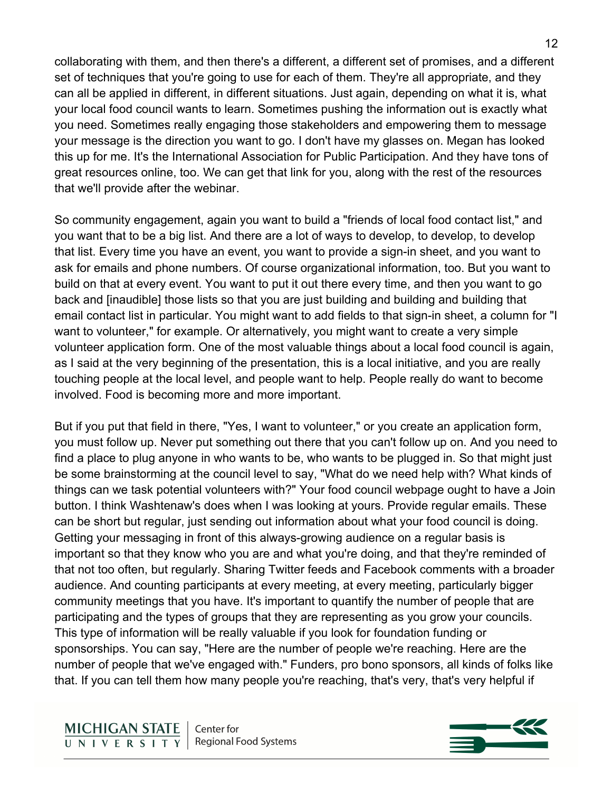collaborating with them, and then there's a different, a different set of promises, and a different set of techniques that you're going to use for each of them. They're all appropriate, and they can all be applied in different, in different situations. Just again, depending on what it is, what your local food council wants to learn. Sometimes pushing the information out is exactly what you need. Sometimes really engaging those stakeholders and empowering them to message your message is the direction you want to go. I don't have my glasses on. Megan has looked this up for me. It's the International Association for Public Participation. And they have tons of great resources online, too. We can get that link for you, along with the rest of the resources that we'll provide after the webinar.

So community engagement, again you want to build a "friends of local food contact list," and you want that to be a big list. And there are a lot of ways to develop, to develop, to develop that list. Every time you have an event, you want to provide a sign-in sheet, and you want to ask for emails and phone numbers. Of course organizational information, too. But you want to build on that at every event. You want to put it out there every time, and then you want to go back and [inaudible] those lists so that you are just building and building and building that email contact list in particular. You might want to add fields to that sign-in sheet, a column for "I want to volunteer," for example. Or alternatively, you might want to create a very simple volunteer application form. One of the most valuable things about a local food council is again, as I said at the very beginning of the presentation, this is a local initiative, and you are really touching people at the local level, and people want to help. People really do want to become involved. Food is becoming more and more important.

But if you put that field in there, "Yes, I want to volunteer," or you create an application form, you must follow up. Never put something out there that you can't follow up on. And you need to find a place to plug anyone in who wants to be, who wants to be plugged in. So that might just be some brainstorming at the council level to say, "What do we need help with? What kinds of things can we task potential volunteers with?" Your food council webpage ought to have a Join button. I think Washtenaw's does when I was looking at yours. Provide regular emails. These can be short but regular, just sending out information about what your food council is doing. Getting your messaging in front of this always-growing audience on a regular basis is important so that they know who you are and what you're doing, and that they're reminded of that not too often, but regularly. Sharing Twitter feeds and Facebook comments with a broader audience. And counting participants at every meeting, at every meeting, particularly bigger community meetings that you have. It's important to quantify the number of people that are participating and the types of groups that they are representing as you grow your councils. This type of information will be really valuable if you look for foundation funding or sponsorships. You can say, "Here are the number of people we're reaching. Here are the number of people that we've engaged with." Funders, pro bono sponsors, all kinds of folks like that. If you can tell them how many people you're reaching, that's very, that's very helpful if

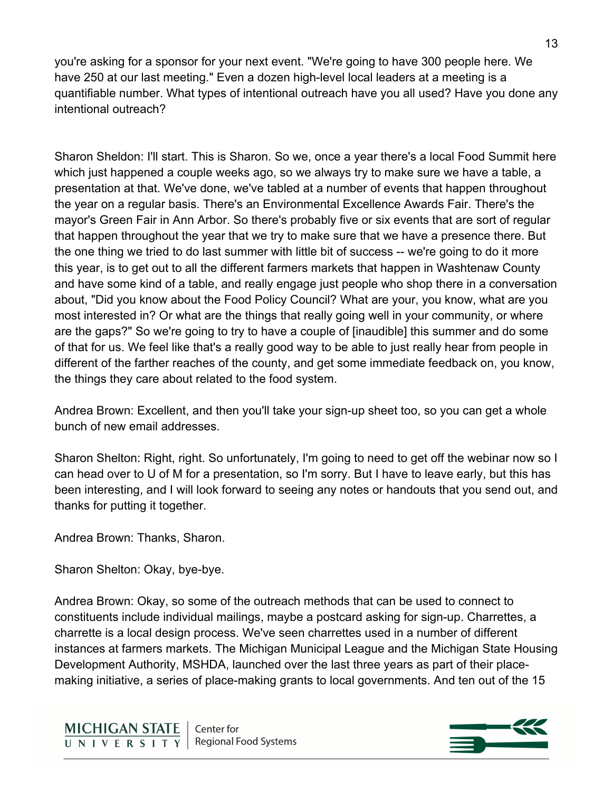you're asking for a sponsor for your next event. "We're going to have 300 people here. We have 250 at our last meeting." Even a dozen high-level local leaders at a meeting is a quantifiable number. What types of intentional outreach have you all used? Have you done any intentional outreach?

Sharon Sheldon: I'll start. This is Sharon. So we, once a year there's a local Food Summit here which just happened a couple weeks ago, so we always try to make sure we have a table, a presentation at that. We've done, we've tabled at a number of events that happen throughout the year on a regular basis. There's an Environmental Excellence Awards Fair. There's the mayor's Green Fair in Ann Arbor. So there's probably five or six events that are sort of regular that happen throughout the year that we try to make sure that we have a presence there. But the one thing we tried to do last summer with little bit of success -- we're going to do it more this year, is to get out to all the different farmers markets that happen in Washtenaw County and have some kind of a table, and really engage just people who shop there in a conversation about, "Did you know about the Food Policy Council? What are your, you know, what are you most interested in? Or what are the things that really going well in your community, or where are the gaps?" So we're going to try to have a couple of [inaudible] this summer and do some of that for us. We feel like that's a really good way to be able to just really hear from people in different of the farther reaches of the county, and get some immediate feedback on, you know, the things they care about related to the food system.

Andrea Brown: Excellent, and then you'll take your sign-up sheet too, so you can get a whole bunch of new email addresses.

Sharon Shelton: Right, right. So unfortunately, I'm going to need to get off the webinar now so I can head over to U of M for a presentation, so I'm sorry. But I have to leave early, but this has been interesting, and I will look forward to seeing any notes or handouts that you send out, and thanks for putting it together.

Andrea Brown: Thanks, Sharon.

Sharon Shelton: Okay, bye-bye.

Andrea Brown: Okay, so some of the outreach methods that can be used to connect to constituents include individual mailings, maybe a postcard asking for sign-up. Charrettes, a charrette is a local design process. We've seen charrettes used in a number of different instances at farmers markets. The Michigan Municipal League and the Michigan State Housing Development Authority, MSHDA, launched over the last three years as part of their placemaking initiative, a series of place-making grants to local governments. And ten out of the 15

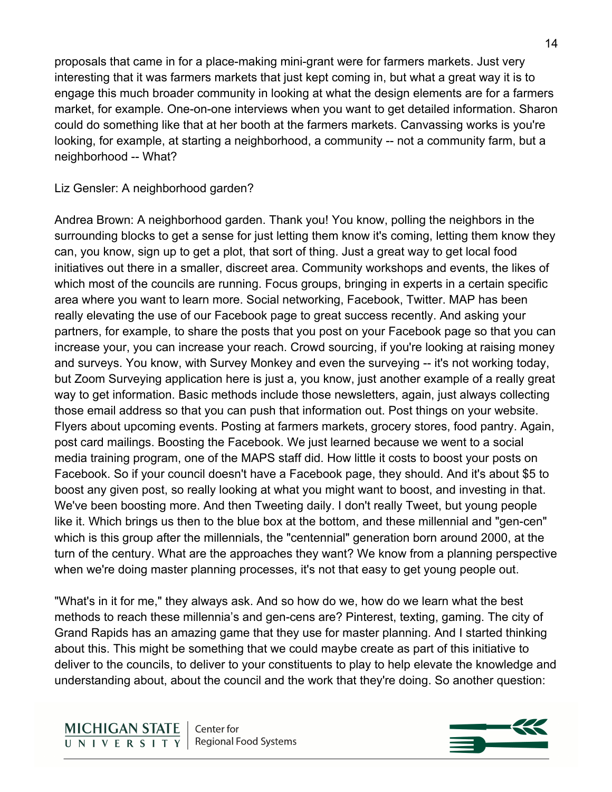proposals that came in for a place-making mini-grant were for farmers markets. Just very interesting that it was farmers markets that just kept coming in, but what a great way it is to engage this much broader community in looking at what the design elements are for a farmers market, for example. One-on-one interviews when you want to get detailed information. Sharon could do something like that at her booth at the farmers markets. Canvassing works is you're looking, for example, at starting a neighborhood, a community -- not a community farm, but a neighborhood -- What?

Liz Gensler: A neighborhood garden?

Andrea Brown: A neighborhood garden. Thank you! You know, polling the neighbors in the surrounding blocks to get a sense for just letting them know it's coming, letting them know they can, you know, sign up to get a plot, that sort of thing. Just a great way to get local food initiatives out there in a smaller, discreet area. Community workshops and events, the likes of which most of the councils are running. Focus groups, bringing in experts in a certain specific area where you want to learn more. Social networking, Facebook, Twitter. MAP has been really elevating the use of our Facebook page to great success recently. And asking your partners, for example, to share the posts that you post on your Facebook page so that you can increase your, you can increase your reach. Crowd sourcing, if you're looking at raising money and surveys. You know, with Survey Monkey and even the surveying -- it's not working today, but Zoom Surveying application here is just a, you know, just another example of a really great way to get information. Basic methods include those newsletters, again, just always collecting those email address so that you can push that information out. Post things on your website. Flyers about upcoming events. Posting at farmers markets, grocery stores, food pantry. Again, post card mailings. Boosting the Facebook. We just learned because we went to a social media training program, one of the MAPS staff did. How little it costs to boost your posts on Facebook. So if your council doesn't have a Facebook page, they should. And it's about \$5 to boost any given post, so really looking at what you might want to boost, and investing in that. We've been boosting more. And then Tweeting daily. I don't really Tweet, but young people like it. Which brings us then to the blue box at the bottom, and these millennial and "gen-cen" which is this group after the millennials, the "centennial" generation born around 2000, at the turn of the century. What are the approaches they want? We know from a planning perspective when we're doing master planning processes, it's not that easy to get young people out.

"What's in it for me," they always ask. And so how do we, how do we learn what the best methods to reach these millennia's and gen-cens are? Pinterest, texting, gaming. The city of Grand Rapids has an amazing game that they use for master planning. And I started thinking about this. This might be something that we could maybe create as part of this initiative to deliver to the councils, to deliver to your constituents to play to help elevate the knowledge and understanding about, about the council and the work that they're doing. So another question:

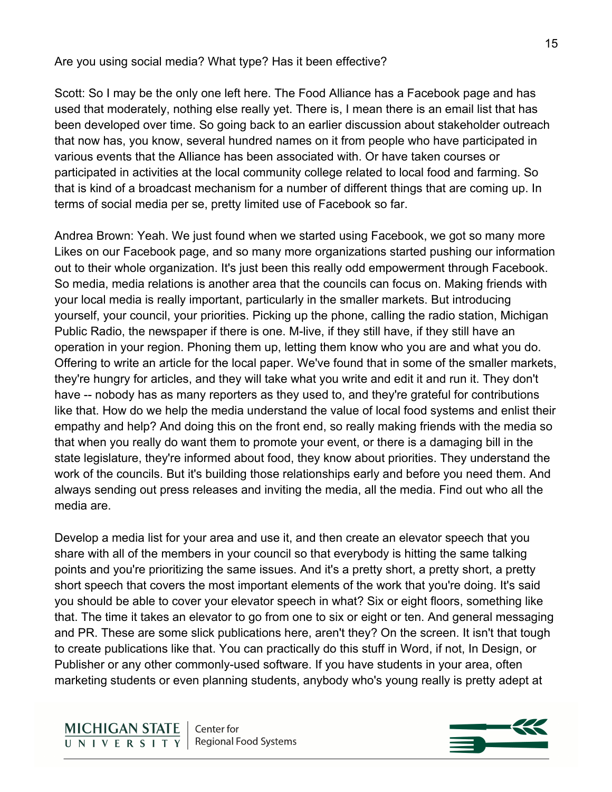#### Are you using social media? What type? Has it been effective?

Scott: So I may be the only one left here. The Food Alliance has a Facebook page and has used that moderately, nothing else really yet. There is, I mean there is an email list that has been developed over time. So going back to an earlier discussion about stakeholder outreach that now has, you know, several hundred names on it from people who have participated in various events that the Alliance has been associated with. Or have taken courses or participated in activities at the local community college related to local food and farming. So that is kind of a broadcast mechanism for a number of different things that are coming up. In terms of social media per se, pretty limited use of Facebook so far.

Andrea Brown: Yeah. We just found when we started using Facebook, we got so many more Likes on our Facebook page, and so many more organizations started pushing our information out to their whole organization. It's just been this really odd empowerment through Facebook. So media, media relations is another area that the councils can focus on. Making friends with your local media is really important, particularly in the smaller markets. But introducing yourself, your council, your priorities. Picking up the phone, calling the radio station, Michigan Public Radio, the newspaper if there is one. M-live, if they still have, if they still have an operation in your region. Phoning them up, letting them know who you are and what you do. Offering to write an article for the local paper. We've found that in some of the smaller markets, they're hungry for articles, and they will take what you write and edit it and run it. They don't have -- nobody has as many reporters as they used to, and they're grateful for contributions like that. How do we help the media understand the value of local food systems and enlist their empathy and help? And doing this on the front end, so really making friends with the media so that when you really do want them to promote your event, or there is a damaging bill in the state legislature, they're informed about food, they know about priorities. They understand the work of the councils. But it's building those relationships early and before you need them. And always sending out press releases and inviting the media, all the media. Find out who all the media are.

Develop a media list for your area and use it, and then create an elevator speech that you share with all of the members in your council so that everybody is hitting the same talking points and you're prioritizing the same issues. And it's a pretty short, a pretty short, a pretty short speech that covers the most important elements of the work that you're doing. It's said you should be able to cover your elevator speech in what? Six or eight floors, something like that. The time it takes an elevator to go from one to six or eight or ten. And general messaging and PR. These are some slick publications here, aren't they? On the screen. It isn't that tough to create publications like that. You can practically do this stuff in Word, if not, In Design, or Publisher or any other commonly-used software. If you have students in your area, often marketing students or even planning students, anybody who's young really is pretty adept at

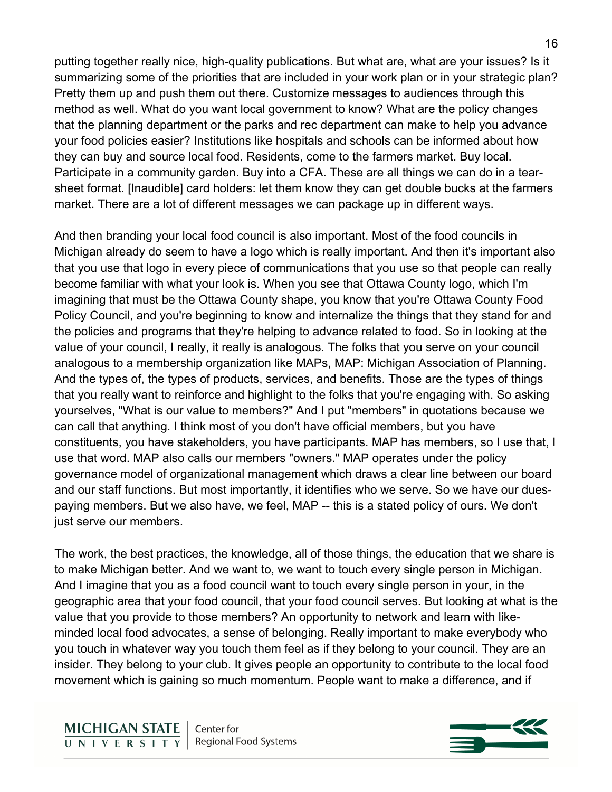putting together really nice, high-quality publications. But what are, what are your issues? Is it summarizing some of the priorities that are included in your work plan or in your strategic plan? Pretty them up and push them out there. Customize messages to audiences through this method as well. What do you want local government to know? What are the policy changes that the planning department or the parks and rec department can make to help you advance your food policies easier? Institutions like hospitals and schools can be informed about how they can buy and source local food. Residents, come to the farmers market. Buy local. Participate in a community garden. Buy into a CFA. These are all things we can do in a tearsheet format. [Inaudible] card holders: let them know they can get double bucks at the farmers market. There are a lot of different messages we can package up in different ways.

And then branding your local food council is also important. Most of the food councils in Michigan already do seem to have a logo which is really important. And then it's important also that you use that logo in every piece of communications that you use so that people can really become familiar with what your look is. When you see that Ottawa County logo, which I'm imagining that must be the Ottawa County shape, you know that you're Ottawa County Food Policy Council, and you're beginning to know and internalize the things that they stand for and the policies and programs that they're helping to advance related to food. So in looking at the value of your council, I really, it really is analogous. The folks that you serve on your council analogous to a membership organization like MAPs, MAP: Michigan Association of Planning. And the types of, the types of products, services, and benefits. Those are the types of things that you really want to reinforce and highlight to the folks that you're engaging with. So asking yourselves, "What is our value to members?" And I put "members" in quotations because we can call that anything. I think most of you don't have official members, but you have constituents, you have stakeholders, you have participants. MAP has members, so I use that, I use that word. MAP also calls our members "owners." MAP operates under the policy governance model of organizational management which draws a clear line between our board and our staff functions. But most importantly, it identifies who we serve. So we have our duespaying members. But we also have, we feel, MAP -- this is a stated policy of ours. We don't just serve our members.

The work, the best practices, the knowledge, all of those things, the education that we share is to make Michigan better. And we want to, we want to touch every single person in Michigan. And I imagine that you as a food council want to touch every single person in your, in the geographic area that your food council, that your food council serves. But looking at what is the value that you provide to those members? An opportunity to network and learn with likeminded local food advocates, a sense of belonging. Really important to make everybody who you touch in whatever way you touch them feel as if they belong to your council. They are an insider. They belong to your club. It gives people an opportunity to contribute to the local food movement which is gaining so much momentum. People want to make a difference, and if

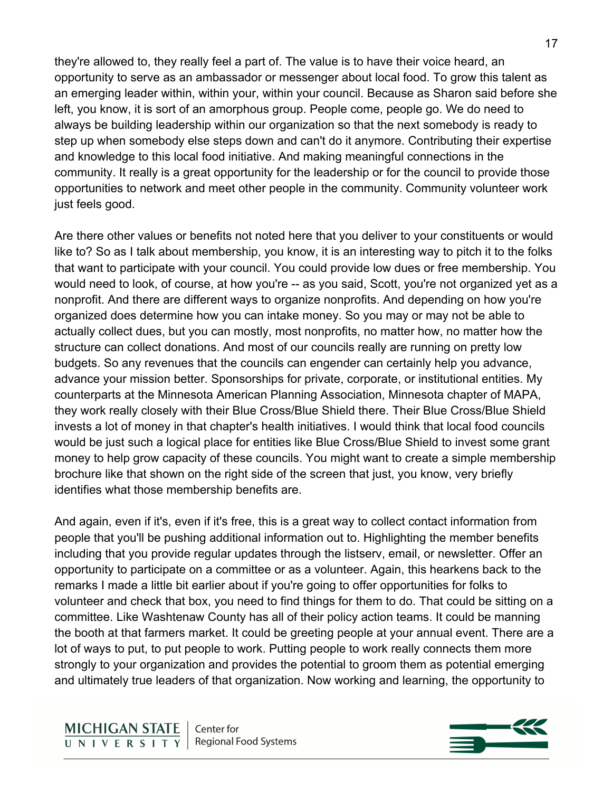they're allowed to, they really feel a part of. The value is to have their voice heard, an opportunity to serve as an ambassador or messenger about local food. To grow this talent as an emerging leader within, within your, within your council. Because as Sharon said before she left, you know, it is sort of an amorphous group. People come, people go. We do need to always be building leadership within our organization so that the next somebody is ready to step up when somebody else steps down and can't do it anymore. Contributing their expertise and knowledge to this local food initiative. And making meaningful connections in the community. It really is a great opportunity for the leadership or for the council to provide those opportunities to network and meet other people in the community. Community volunteer work just feels good.

Are there other values or benefits not noted here that you deliver to your constituents or would like to? So as I talk about membership, you know, it is an interesting way to pitch it to the folks that want to participate with your council. You could provide low dues or free membership. You would need to look, of course, at how you're -- as you said, Scott, you're not organized yet as a nonprofit. And there are different ways to organize nonprofits. And depending on how you're organized does determine how you can intake money. So you may or may not be able to actually collect dues, but you can mostly, most nonprofits, no matter how, no matter how the structure can collect donations. And most of our councils really are running on pretty low budgets. So any revenues that the councils can engender can certainly help you advance, advance your mission better. Sponsorships for private, corporate, or institutional entities. My counterparts at the Minnesota American Planning Association, Minnesota chapter of MAPA, they work really closely with their Blue Cross/Blue Shield there. Their Blue Cross/Blue Shield invests a lot of money in that chapter's health initiatives. I would think that local food councils would be just such a logical place for entities like Blue Cross/Blue Shield to invest some grant money to help grow capacity of these councils. You might want to create a simple membership brochure like that shown on the right side of the screen that just, you know, very briefly identifies what those membership benefits are.

And again, even if it's, even if it's free, this is a great way to collect contact information from people that you'll be pushing additional information out to. Highlighting the member benefits including that you provide regular updates through the listserv, email, or newsletter. Offer an opportunity to participate on a committee or as a volunteer. Again, this hearkens back to the remarks I made a little bit earlier about if you're going to offer opportunities for folks to volunteer and check that box, you need to find things for them to do. That could be sitting on a committee. Like Washtenaw County has all of their policy action teams. It could be manning the booth at that farmers market. It could be greeting people at your annual event. There are a lot of ways to put, to put people to work. Putting people to work really connects them more strongly to your organization and provides the potential to groom them as potential emerging and ultimately true leaders of that organization. Now working and learning, the opportunity to

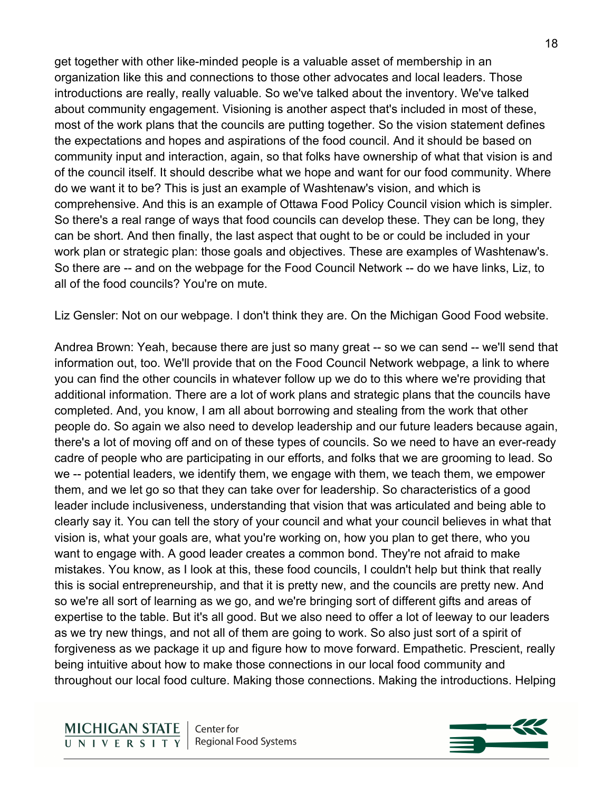get together with other like-minded people is a valuable asset of membership in an organization like this and connections to those other advocates and local leaders. Those introductions are really, really valuable. So we've talked about the inventory. We've talked about community engagement. Visioning is another aspect that's included in most of these, most of the work plans that the councils are putting together. So the vision statement defines the expectations and hopes and aspirations of the food council. And it should be based on community input and interaction, again, so that folks have ownership of what that vision is and of the council itself. It should describe what we hope and want for our food community. Where do we want it to be? This is just an example of Washtenaw's vision, and which is comprehensive. And this is an example of Ottawa Food Policy Council vision which is simpler. So there's a real range of ways that food councils can develop these. They can be long, they can be short. And then finally, the last aspect that ought to be or could be included in your work plan or strategic plan: those goals and objectives. These are examples of Washtenaw's. So there are -- and on the webpage for the Food Council Network -- do we have links, Liz, to all of the food councils? You're on mute.

Liz Gensler: Not on our webpage. I don't think they are. On the Michigan Good Food website.

Andrea Brown: Yeah, because there are just so many great -- so we can send -- we'll send that information out, too. We'll provide that on the Food Council Network webpage, a link to where you can find the other councils in whatever follow up we do to this where we're providing that additional information. There are a lot of work plans and strategic plans that the councils have completed. And, you know, I am all about borrowing and stealing from the work that other people do. So again we also need to develop leadership and our future leaders because again, there's a lot of moving off and on of these types of councils. So we need to have an ever-ready cadre of people who are participating in our efforts, and folks that we are grooming to lead. So we -- potential leaders, we identify them, we engage with them, we teach them, we empower them, and we let go so that they can take over for leadership. So characteristics of a good leader include inclusiveness, understanding that vision that was articulated and being able to clearly say it. You can tell the story of your council and what your council believes in what that vision is, what your goals are, what you're working on, how you plan to get there, who you want to engage with. A good leader creates a common bond. They're not afraid to make mistakes. You know, as I look at this, these food councils, I couldn't help but think that really this is social entrepreneurship, and that it is pretty new, and the councils are pretty new. And so we're all sort of learning as we go, and we're bringing sort of different gifts and areas of expertise to the table. But it's all good. But we also need to offer a lot of leeway to our leaders as we try new things, and not all of them are going to work. So also just sort of a spirit of forgiveness as we package it up and figure how to move forward. Empathetic. Prescient, really being intuitive about how to make those connections in our local food community and throughout our local food culture. Making those connections. Making the introductions. Helping

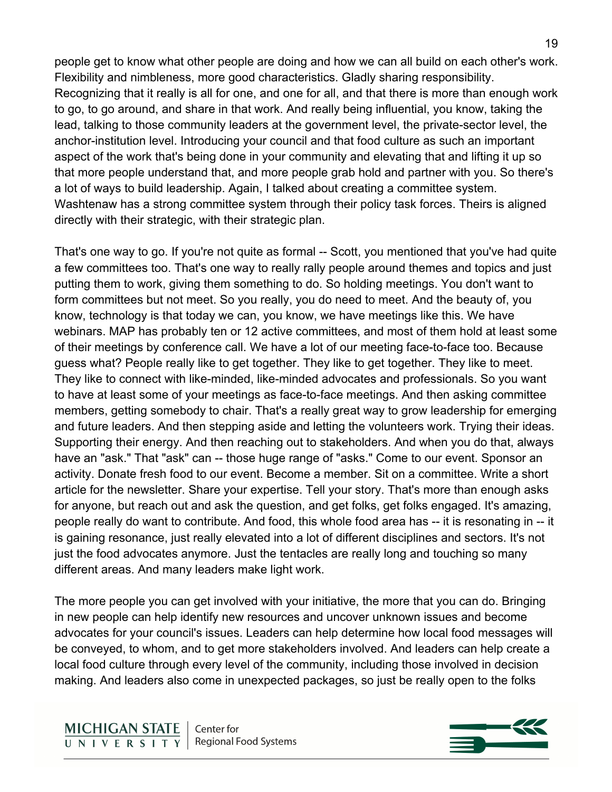people get to know what other people are doing and how we can all build on each other's work. Flexibility and nimbleness, more good characteristics. Gladly sharing responsibility. Recognizing that it really is all for one, and one for all, and that there is more than enough work to go, to go around, and share in that work. And really being influential, you know, taking the lead, talking to those community leaders at the government level, the private-sector level, the anchor-institution level. Introducing your council and that food culture as such an important aspect of the work that's being done in your community and elevating that and lifting it up so that more people understand that, and more people grab hold and partner with you. So there's a lot of ways to build leadership. Again, I talked about creating a committee system. Washtenaw has a strong committee system through their policy task forces. Theirs is aligned directly with their strategic, with their strategic plan.

That's one way to go. If you're not quite as formal -- Scott, you mentioned that you've had quite a few committees too. That's one way to really rally people around themes and topics and just putting them to work, giving them something to do. So holding meetings. You don't want to form committees but not meet. So you really, you do need to meet. And the beauty of, you know, technology is that today we can, you know, we have meetings like this. We have webinars. MAP has probably ten or 12 active committees, and most of them hold at least some of their meetings by conference call. We have a lot of our meeting face-to-face too. Because guess what? People really like to get together. They like to get together. They like to meet. They like to connect with like-minded, like-minded advocates and professionals. So you want to have at least some of your meetings as face-to-face meetings. And then asking committee members, getting somebody to chair. That's a really great way to grow leadership for emerging and future leaders. And then stepping aside and letting the volunteers work. Trying their ideas. Supporting their energy. And then reaching out to stakeholders. And when you do that, always have an "ask." That "ask" can -- those huge range of "asks." Come to our event. Sponsor an activity. Donate fresh food to our event. Become a member. Sit on a committee. Write a short article for the newsletter. Share your expertise. Tell your story. That's more than enough asks for anyone, but reach out and ask the question, and get folks, get folks engaged. It's amazing, people really do want to contribute. And food, this whole food area has -- it is resonating in -- it is gaining resonance, just really elevated into a lot of different disciplines and sectors. It's not just the food advocates anymore. Just the tentacles are really long and touching so many different areas. And many leaders make light work.

The more people you can get involved with your initiative, the more that you can do. Bringing in new people can help identify new resources and uncover unknown issues and become advocates for your council's issues. Leaders can help determine how local food messages will be conveyed, to whom, and to get more stakeholders involved. And leaders can help create a local food culture through every level of the community, including those involved in decision making. And leaders also come in unexpected packages, so just be really open to the folks

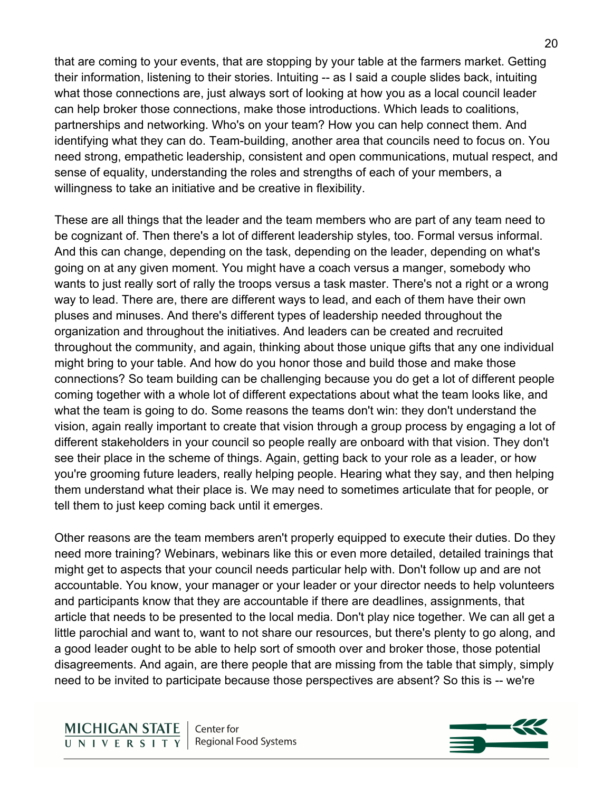that are coming to your events, that are stopping by your table at the farmers market. Getting their information, listening to their stories. Intuiting -- as I said a couple slides back, intuiting what those connections are, just always sort of looking at how you as a local council leader can help broker those connections, make those introductions. Which leads to coalitions, partnerships and networking. Who's on your team? How you can help connect them. And identifying what they can do. Team-building, another area that councils need to focus on. You need strong, empathetic leadership, consistent and open communications, mutual respect, and sense of equality, understanding the roles and strengths of each of your members, a willingness to take an initiative and be creative in flexibility.

These are all things that the leader and the team members who are part of any team need to be cognizant of. Then there's a lot of different leadership styles, too. Formal versus informal. And this can change, depending on the task, depending on the leader, depending on what's going on at any given moment. You might have a coach versus a manger, somebody who wants to just really sort of rally the troops versus a task master. There's not a right or a wrong way to lead. There are, there are different ways to lead, and each of them have their own pluses and minuses. And there's different types of leadership needed throughout the organization and throughout the initiatives. And leaders can be created and recruited throughout the community, and again, thinking about those unique gifts that any one individual might bring to your table. And how do you honor those and build those and make those connections? So team building can be challenging because you do get a lot of different people coming together with a whole lot of different expectations about what the team looks like, and what the team is going to do. Some reasons the teams don't win: they don't understand the vision, again really important to create that vision through a group process by engaging a lot of different stakeholders in your council so people really are onboard with that vision. They don't see their place in the scheme of things. Again, getting back to your role as a leader, or how you're grooming future leaders, really helping people. Hearing what they say, and then helping them understand what their place is. We may need to sometimes articulate that for people, or tell them to just keep coming back until it emerges.

Other reasons are the team members aren't properly equipped to execute their duties. Do they need more training? Webinars, webinars like this or even more detailed, detailed trainings that might get to aspects that your council needs particular help with. Don't follow up and are not accountable. You know, your manager or your leader or your director needs to help volunteers and participants know that they are accountable if there are deadlines, assignments, that article that needs to be presented to the local media. Don't play nice together. We can all get a little parochial and want to, want to not share our resources, but there's plenty to go along, and a good leader ought to be able to help sort of smooth over and broker those, those potential disagreements. And again, are there people that are missing from the table that simply, simply need to be invited to participate because those perspectives are absent? So this is -- we're